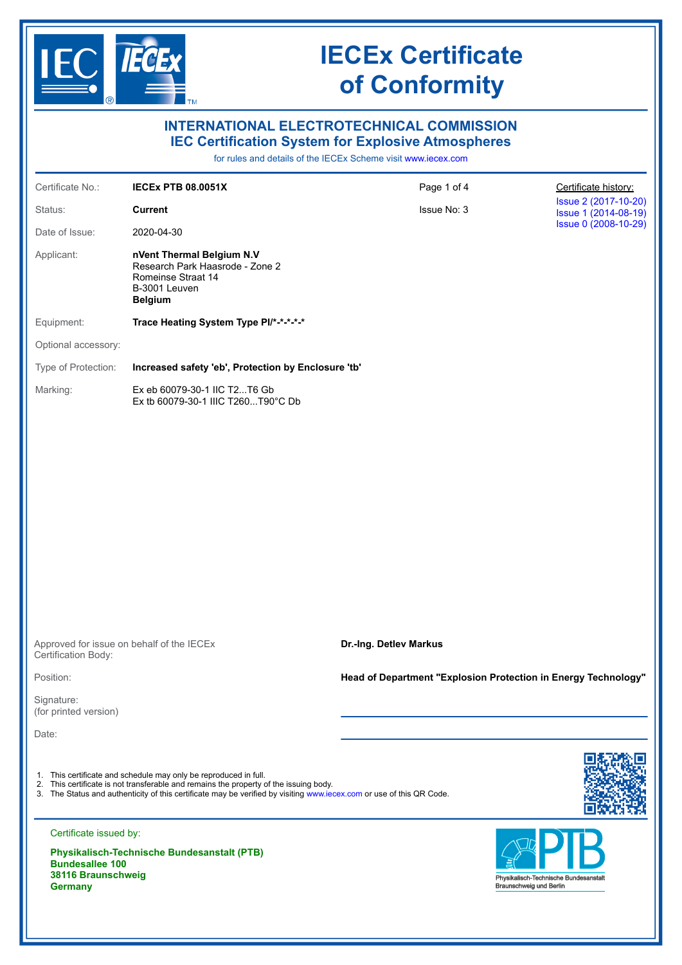

**Germany**

# **IECEx Certificate of Conformity**

|                                                                                          | <b>INTERNATIONAL ELECTROTECHNICAL COMMISSION</b><br><b>IEC Certification System for Explosive Atmospheres</b>                                                                                                                                                                     | for rules and details of the IECEx Scheme visit www.iecex.com  |                                                                  |  |  |  |  |
|------------------------------------------------------------------------------------------|-----------------------------------------------------------------------------------------------------------------------------------------------------------------------------------------------------------------------------------------------------------------------------------|----------------------------------------------------------------|------------------------------------------------------------------|--|--|--|--|
| Certificate No.:                                                                         | <b>IECEX PTB 08.0051X</b>                                                                                                                                                                                                                                                         | Page 1 of 4                                                    | Certificate history:                                             |  |  |  |  |
| Status:                                                                                  | <b>Current</b>                                                                                                                                                                                                                                                                    | Issue 2 (2017-10-20)<br>Issue 1 (2014-08-19)                   |                                                                  |  |  |  |  |
| Date of Issue:                                                                           | 2020-04-30                                                                                                                                                                                                                                                                        |                                                                | Issue 0 (2008-10-29)                                             |  |  |  |  |
| Applicant:                                                                               | nVent Thermal Belgium N.V<br>Research Park Haasrode - Zone 2<br>Romeinse Straat 14<br>B-3001 Leuven<br><b>Belgium</b>                                                                                                                                                             |                                                                |                                                                  |  |  |  |  |
| Equipment:                                                                               | Trace Heating System Type PI/*-*-*-*-*                                                                                                                                                                                                                                            |                                                                |                                                                  |  |  |  |  |
| Optional accessory:                                                                      |                                                                                                                                                                                                                                                                                   |                                                                |                                                                  |  |  |  |  |
| Type of Protection:                                                                      | Increased safety 'eb', Protection by Enclosure 'tb'                                                                                                                                                                                                                               |                                                                |                                                                  |  |  |  |  |
| Marking:                                                                                 | Ex eb 60079-30-1 IIC T2T6 Gb<br>Ex tb 60079-30-1 IIIC T260T90°C Db                                                                                                                                                                                                                |                                                                |                                                                  |  |  |  |  |
|                                                                                          |                                                                                                                                                                                                                                                                                   |                                                                |                                                                  |  |  |  |  |
| Certification Body:                                                                      | Approved for issue on behalf of the IECEx                                                                                                                                                                                                                                         | Dr.-Ing. Detlev Markus                                         |                                                                  |  |  |  |  |
| Position:                                                                                |                                                                                                                                                                                                                                                                                   | Head of Department "Explosion Protection in Energy Technology" |                                                                  |  |  |  |  |
| Signature:<br>(for printed version)                                                      |                                                                                                                                                                                                                                                                                   |                                                                |                                                                  |  |  |  |  |
| Date:                                                                                    |                                                                                                                                                                                                                                                                                   |                                                                |                                                                  |  |  |  |  |
|                                                                                          | 1. This certificate and schedule may only be reproduced in full.<br>2. This certificate is not transferable and remains the property of the issuing body.<br>3. The Status and authenticity of this certificate may be verified by visiting www.iecex.com or use of this QR Code. |                                                                |                                                                  |  |  |  |  |
| Certificate issued by:<br><b>Bundesallee 100</b><br>38116 Braunschweig<br><b>Germany</b> | <b>Physikalisch-Technische Bundesanstalt (PTB)</b>                                                                                                                                                                                                                                |                                                                | Physikalisch-Technische Bundesanstalt<br>Braunschweig und Berlin |  |  |  |  |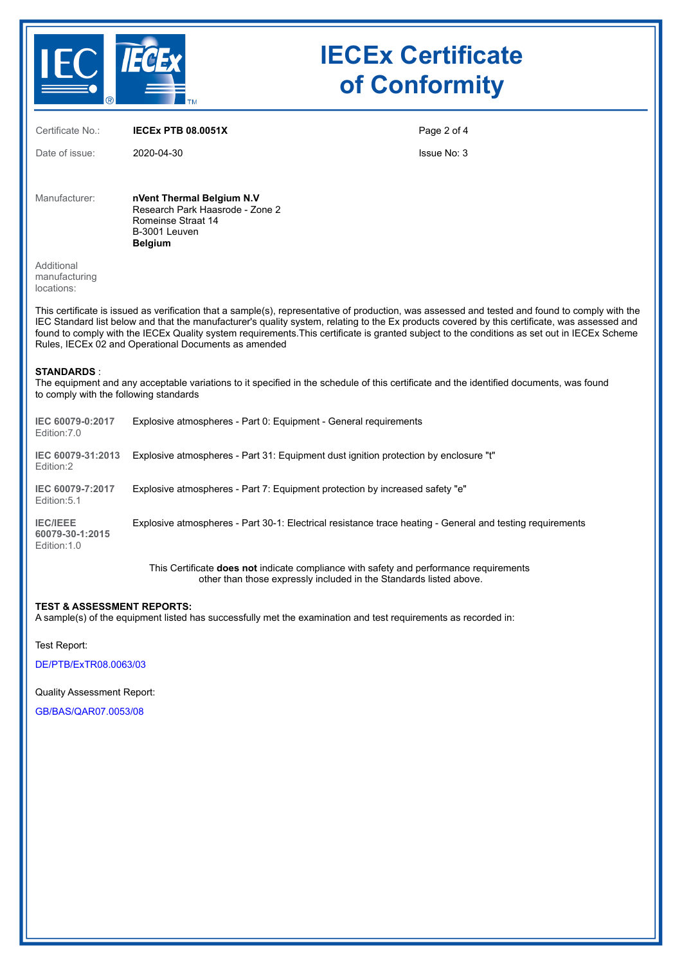

# **IECEx Certificate of Conformity**

Certificate No.: **IECEx PTB 08.0051X** Date of issue: 2020-04-30 Page 2 of 4 Issue No: 3 Manufacturer: **nVent Thermal Belgium N.V** Research Park Haasrode - Zone 2 Romeinse Straat 14 B-3001 Leuven **Belgium** Additional manufacturing locations: This certificate is issued as verification that a sample(s), representative of production, was assessed and tested and found to comply with the IEC Standard list below and that the manufacturer's quality system, relating to the Ex products covered by this certificate, was assessed and found to comply with the IECEx Quality system requirements.This certificate is granted subject to the conditions as set out in IECEx Scheme Rules, IECEx 02 and Operational Documents as amended **STANDARDS** : The equipment and any acceptable variations to it specified in the schedule of this certificate and the identified documents, was found to comply with the following standards **IEC 60079-0:2017** Edition:7.0 Explosive atmospheres - Part 0: Equipment - General requirements **IEC 60079-31:2013** Explosive atmospheres - Part 31: Equipment dust ignition protection by enclosure "t" Edition:2 **IEC 60079-7:2017** Edition:5.1 Explosive atmospheres - Part 7: Equipment protection by increased safety "e" **IEC/IEEE 60079-30-1:2015** Edition:1.0 Explosive atmospheres - Part 30-1: Electrical resistance trace heating - General and testing requirements This Certificate **does not** indicate compliance with safety and performance requirements other than those expressly included in the Standards listed above.

#### **TEST & ASSESSMENT REPORTS:**

A sample(s) of the equipment listed has successfully met the examination and test requirements as recorded in:

Test Report:

[DE/PTB/ExTR08.0063/03](https://www.iecex-certs.com/deliverables/REPORT/64558/view)

Quality Assessment Report:

[GB/BAS/QAR07.0053/08](https://www.iecex-certs.com/deliverables/REPORT/64124/view)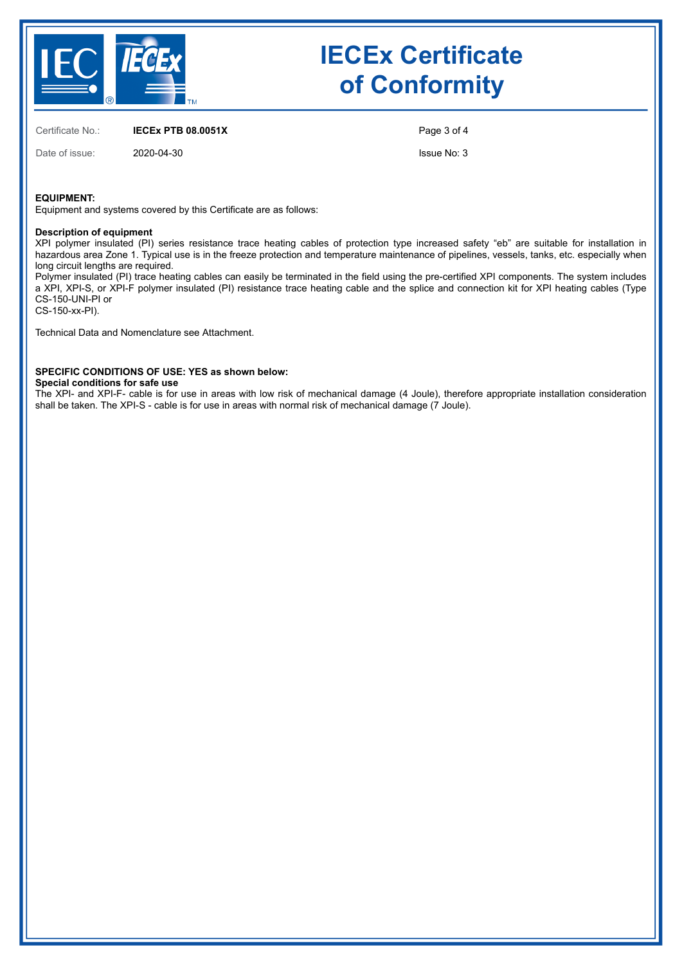

# **IECEx Certificate of Conformity**

Certificate No.: **IECEx PTB 08.0051X**

Date of issue: 2020-04-30

Page 3 of 4

Issue No: 3

#### **EQUIPMENT:**

Equipment and systems covered by this Certificate are as follows:

#### **Description of equipment**

XPI polymer insulated (PI) series resistance trace heating cables of protection type increased safety "eb" are suitable for installation in hazardous area Zone 1. Typical use is in the freeze protection and temperature maintenance of pipelines, vessels, tanks, etc. especially when long circuit lengths are required.

Polymer insulated (PI) trace heating cables can easily be terminated in the field using the pre-certified XPI components. The system includes a XPI, XPI-S, or XPI-F polymer insulated (PI) resistance trace heating cable and the splice and connection kit for XPI heating cables (Type CS-150-UNI-PI or

CS-150-xx-PI).

Technical Data and Nomenclature see Attachment.

### **SPECIFIC CONDITIONS OF USE: YES as shown below:**

**Special conditions for safe use**

The XPI- and XPI-F- cable is for use in areas with low risk of mechanical damage (4 Joule), therefore appropriate installation consideration shall be taken. The XPI-S - cable is for use in areas with normal risk of mechanical damage (7 Joule).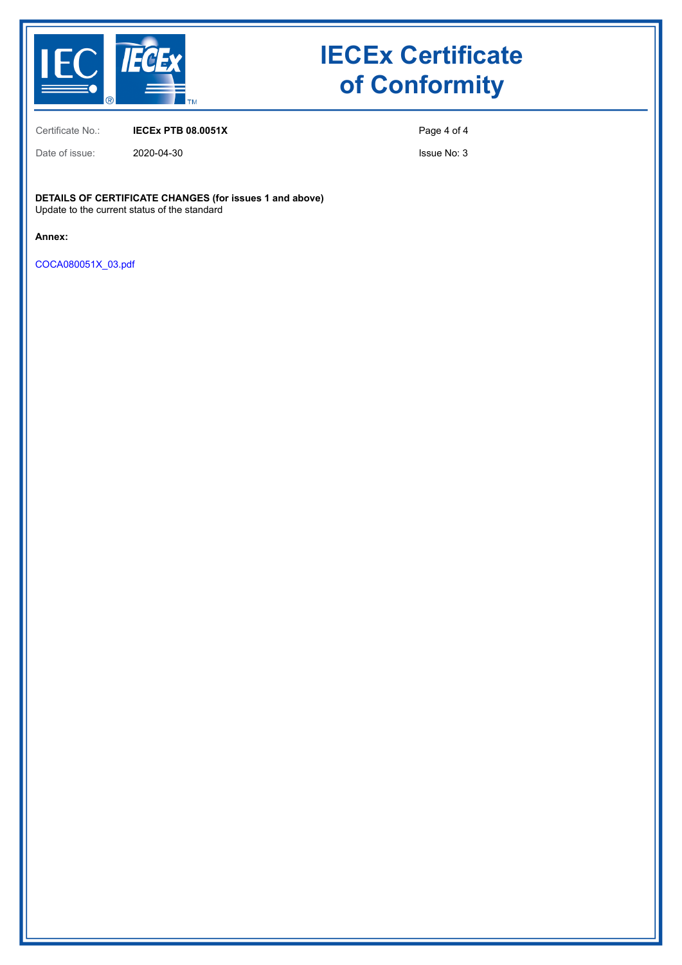

# **IECEx Certificate of Conformity**

Certificate No.: **IECEx PTB 08.0051X**

Date of issue: 2020-04-30

Page 4 of 4

Issue No: 3

**DETAILS OF CERTIFICATE CHANGES (for issues 1 and above)** Update to the current status of the standard

**Annex:**

[COCA080051X\\_03.pdf](https://www.iecex-certs.com/deliverables/CERT/47350/view)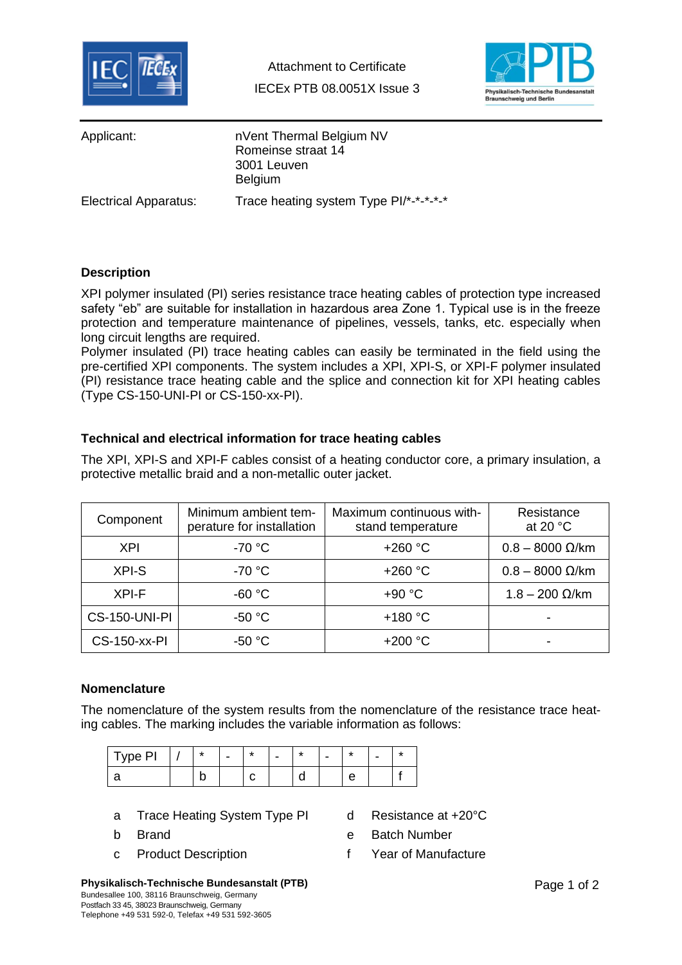



| Applicant:                   | nVent Thermal Belgium NV<br>Romeinse straat 14<br>3001 Leuven<br><b>Belgium</b> |
|------------------------------|---------------------------------------------------------------------------------|
| <b>Electrical Apparatus:</b> | Trace heating system Type PI/*-*-*-*-*                                          |

## **Description**

XPI polymer insulated (PI) series resistance trace heating cables of protection type increased safety "eb" are suitable for installation in hazardous area Zone 1. Typical use is in the freeze protection and temperature maintenance of pipelines, vessels, tanks, etc. especially when long circuit lengths are required.

Polymer insulated (PI) trace heating cables can easily be terminated in the field using the pre-certified XPI components. The system includes a XPI, XPI-S, or XPI-F polymer insulated (PI) resistance trace heating cable and the splice and connection kit for XPI heating cables (Type CS-150-UNI-PI or CS-150-xx-PI).

## **Technical and electrical information for trace heating cables**

The XPI, XPI-S and XPI-F cables consist of a heating conductor core, a primary insulation, a protective metallic braid and a non-metallic outer jacket.

| Minimum ambient tem-<br>Component<br>perature for installation |          | Maximum continuous with-<br>stand temperature | Resistance<br>at 20 $\degree$ C |  |  |
|----------------------------------------------------------------|----------|-----------------------------------------------|---------------------------------|--|--|
| <b>XPI</b>                                                     | $-70 °C$ | $+260 °C$                                     | $0.8 - 8000 \Omega/km$          |  |  |
| XPI-S                                                          | $-70 °C$ | $+260 °C$                                     | $0.8 - 8000 \Omega/km$          |  |  |
| XPI-F                                                          | $-60 °C$ | $+90 °C$                                      | $1.8 - 200 \Omega/km$           |  |  |
| <b>CS-150-UNI-PI</b>                                           | $-50 °C$ | $+180 °C$                                     |                                 |  |  |
| <b>CS-150-xx-PI</b>                                            | $-50 °C$ | $+200 °C$                                     |                                 |  |  |

### **Nomenclature**

The nomenclature of the system results from the nomenclature of the resistance trace heating cables. The marking includes the variable information as follows:

| Type PI | $\star$ | - | $\star$ | - | $\star$ | - | $\star$ | - 1 |
|---------|---------|---|---------|---|---------|---|---------|-----|
|         |         |   |         |   |         |   |         |     |

- a Trace Heating System Type PI d Resistance at +20°C
- 
- 
- 
- b Brand e Batch Number
- c Product Description **F** Year of Manufacture